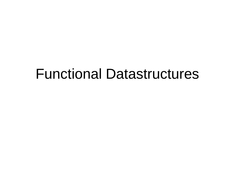#### Functional Datastructures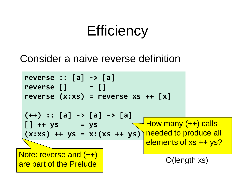# **Efficiency**

#### Consider a naive reverse definition

| reverse :: $[a]$ -> $[a]$<br>reverse []<br>$\blacksquare$ = []<br>reverse $(x:xs)$ = reverse $xs$ ++ $[x]$ |                                                           |
|------------------------------------------------------------------------------------------------------------|-----------------------------------------------------------|
| $(++)$ :: [a] -> [a] -> [a]<br>$[] + + ys = ys$<br>$(x:xs)$ ++ ys = x: $(xs + ys)$ needed to produce all   | <del>_ How many (++)</del> calls<br>elements of xs ++ ys? |
|                                                                                                            |                                                           |
| Note: reverse and (++)<br>are part of the Prelude                                                          | $O$ (length $xs$ )                                        |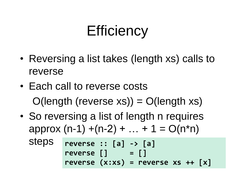# **Efficiency**

- Reversing a list takes (length xs) calls to reverse
- Each call to reverse costs  $O(\text{length} (\text{reverse xs})) = O(\text{length xs}))$
- So reversing a list of length n requires approx  $(n-1) + (n-2) + ... + 1 = O(n<sup>*</sup>n)$

steps **reverse :: [a] -> [a] reverse [] = [] reverse (x:xs) = reverse xs ++ [x]**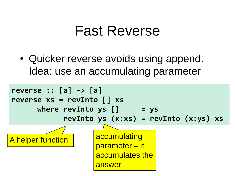#### Fast Reverse

• Quicker reverse avoids using append. Idea: use an accumulating parameter

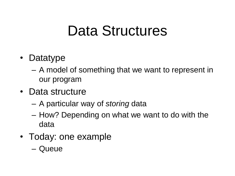## Data Structures

- Datatype
	- A model of something that we want to represent in our program
- Data structure
	- A particular way of *storing* data
	- How? Depending on what we want to do with the data
- Today: one example
	- Queue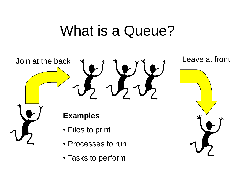## What is a Queue?



• Tasks to perform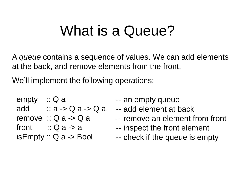#### What is a Queue?

A *queue* contains a sequence of values. We can add elements at the back, and remove elements from the front.

We'll implement the following operations:

empty :: Q a add  $\therefore$  a -> Q a -> Q a remove  $\therefore$  Q a -> Q a front  $\therefore$  Q a -> a isEmpty :: Q a -> Bool

- -- an empty queue
- -- add element at back
- -- remove an element from front
- -- inspect the front element
- -- check if the queue is empty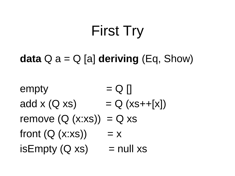# First Try

#### **data** Q a = Q [a] **deriving** (Eq, Show)

 $empty = Q \begin{bmatrix} \end{bmatrix}$ add x  $(Q \times s)$  =  $Q (x s + f x)$ remove  $(Q (x:xs)) = Q xs$ front  $(Q (x:xs)) = x$  $isEmpty(Q xs)$  = null xs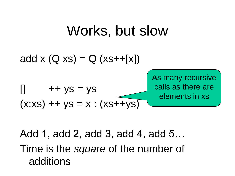#### Works, but slow



Add 1, add 2, add 3, add 4, add 5… Time is the *square* of the number of additions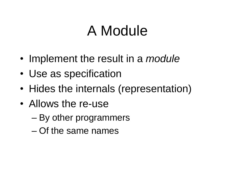# A Module

- Implement the result in a *module*
- Use as specification
- Hides the internals (representation)
- Allows the re-use
	- By other programmers
	- Of the same names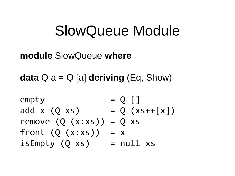#### SlowQueue Module

#### **module** SlowQueue **where**

**data** Q a = Q [a] **deriving** (Eq, Show)

 $empty = Q \cap$ add x  $(Q \times S)$  =  $Q (xS + F[x])$ remove  $(Q (x:xs)) = Q xs$ front  $(Q (x:xs)) = x$  $isEmpty(Q xs)$  =  $null xs$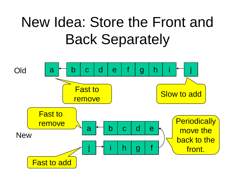# New Idea: Store the Front and Back Separately

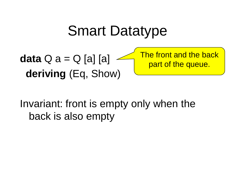## Smart Datatype

**data** Q a = Q [a] [a] **deriving** (Eq, Show) The front and the back part of the queue.

Invariant: front is empty only when the back is also empty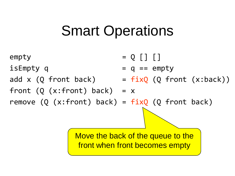# Smart Operations



Move the back of the queue to the front when front becomes empty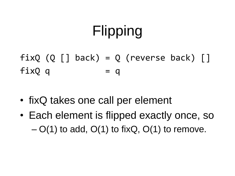# Flipping

 $fixQ$  (Q  $\lceil$  back) = Q (reverse back)  $\lceil$  $fixQ$  q = q

- fixQ takes one call per element
- Each element is flipped exactly once, so  $- O(1)$  to add,  $O(1)$  to fixQ,  $O(1)$  to remove.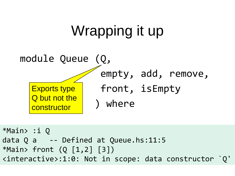

\*Main> :i Q data Q a -- Defined at Queue.hs:11:5 \*Main> front (Q [1,2] [3]) <interactive>:1:0: Not in scope: data constructor `Q'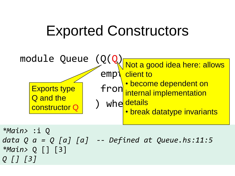# Exported Constructors



*data Q a = Q [a] [a] -- Defined at Queue.hs:11:5 \*Main>* Q [] [3] *Q [] [3]*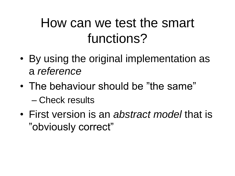#### How can we test the smart functions?

- By using the original implementation as a *reference*
- The behaviour should be "the same" – Check results
- First version is an *abstract model* that is "obviously correct"